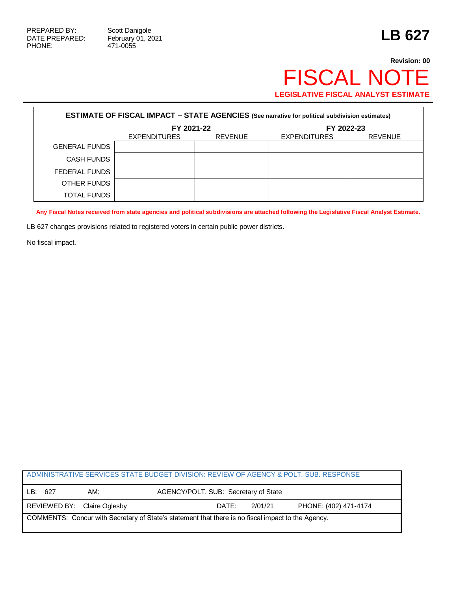Г

471-0055

## **Revision: 00** FISCAL NOTE **LEGISLATIVE FISCAL ANALYST ESTIMATE**

| <b>ESTIMATE OF FISCAL IMPACT - STATE AGENCIES (See narrative for political subdivision estimates)</b> |                     |                |                     |                |  |
|-------------------------------------------------------------------------------------------------------|---------------------|----------------|---------------------|----------------|--|
|                                                                                                       | FY 2021-22          |                | FY 2022-23          |                |  |
|                                                                                                       | <b>EXPENDITURES</b> | <b>REVENUE</b> | <b>EXPENDITURES</b> | <b>REVENUE</b> |  |
| <b>GENERAL FUNDS</b>                                                                                  |                     |                |                     |                |  |
| <b>CASH FUNDS</b>                                                                                     |                     |                |                     |                |  |
| FEDERAL FUNDS                                                                                         |                     |                |                     |                |  |
| OTHER FUNDS                                                                                           |                     |                |                     |                |  |
| <b>TOTAL FUNDS</b>                                                                                    |                     |                |                     |                |  |

**Any Fiscal Notes received from state agencies and political subdivisions are attached following the Legislative Fiscal Analyst Estimate.**

LB 627 changes provisions related to registered voters in certain public power districts.

No fiscal impact.

| ADMINISTRATIVE SERVICES STATE BUDGET DIVISION: REVIEW OF AGENCY & POLT. SUB. RESPONSE              |     |                             |                                      |                       |  |  |
|----------------------------------------------------------------------------------------------------|-----|-----------------------------|--------------------------------------|-----------------------|--|--|
| LB:                                                                                                | 627 | AM:                         | AGENCY/POLT. SUB: Secretary of State |                       |  |  |
|                                                                                                    |     | REVIEWED BY: Claire Oglesby | DATE:<br>2/01/21                     | PHONE: (402) 471-4174 |  |  |
| COMMENTS: Concur with Secretary of State's statement that there is no fiscal impact to the Agency. |     |                             |                                      |                       |  |  |